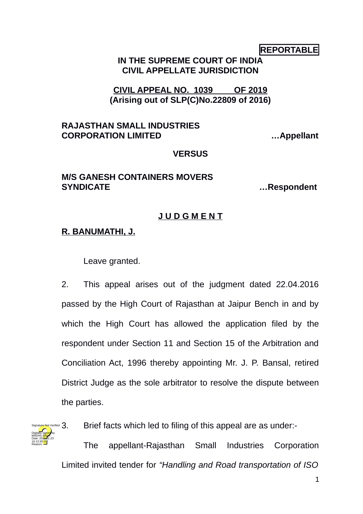## **REPORTABLE**

## **IN THE SUPREME COURT OF INDIA CIVIL APPELLATE JURISDICTION**

**CIVIL APPEAL NO. 1039 OF 2019 (Arising out of SLP(C)No.22809 of 2016)**

#### **RAJASTHAN SMALL INDUSTRIES CORPORATION LIMITED …Appellant**

## **VERSUS**

## **M/S GANESH CONTAINERS MOVERS SYNDICATE …Respondent**

# **J U D G M E N T**

# **R. BANUMATHI, J.**

Leave granted.

2. This appeal arises out of the judgment dated 22.04.2016 passed by the High Court of Rajasthan at Jaipur Bench in and by which the High Court has allowed the application filed by the respondent under Section 11 and Section 15 of the Arbitration and Conciliation Act, 1996 thereby appointing Mr. J. P. Bansal, retired District Judge as the sole arbitrator to resolve the dispute between the parties.



Brief facts which led to filing of this appeal are as under:-

The appellant-Rajasthan Small Industries Corporation Limited invited tender for *"Handling and Road transportation of ISO*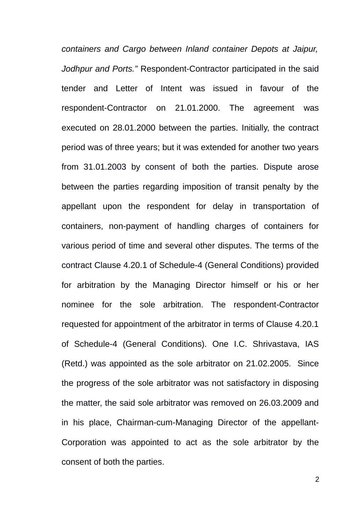*containers and Cargo between Inland container Depots at Jaipur, Jodhpur and Ports."* Respondent-Contractor participated in the said tender and Letter of Intent was issued in favour of the respondent-Contractor on 21.01.2000. The agreement was executed on 28.01.2000 between the parties. Initially, the contract period was of three years; but it was extended for another two years from 31.01.2003 by consent of both the parties. Dispute arose between the parties regarding imposition of transit penalty by the appellant upon the respondent for delay in transportation of containers, non-payment of handling charges of containers for various period of time and several other disputes. The terms of the contract Clause 4.20.1 of Schedule-4 (General Conditions) provided for arbitration by the Managing Director himself or his or her nominee for the sole arbitration. The respondent-Contractor requested for appointment of the arbitrator in terms of Clause 4.20.1 of Schedule-4 (General Conditions). One I.C. Shrivastava, IAS (Retd.) was appointed as the sole arbitrator on 21.02.2005. Since the progress of the sole arbitrator was not satisfactory in disposing the matter, the said sole arbitrator was removed on 26.03.2009 and in his place, Chairman-cum-Managing Director of the appellant-Corporation was appointed to act as the sole arbitrator by the consent of both the parties.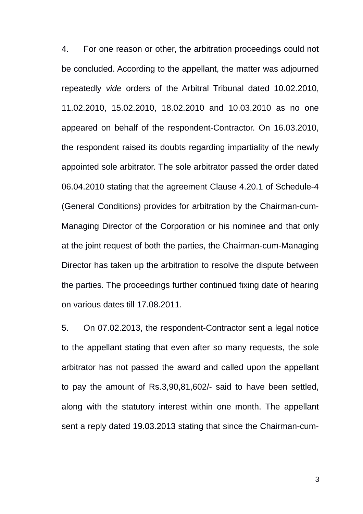4. For one reason or other, the arbitration proceedings could not be concluded. According to the appellant, the matter was adjourned repeatedly *vide* orders of the Arbitral Tribunal dated 10.02.2010, 11.02.2010, 15.02.2010, 18.02.2010 and 10.03.2010 as no one appeared on behalf of the respondent-Contractor. On 16.03.2010, the respondent raised its doubts regarding impartiality of the newly appointed sole arbitrator. The sole arbitrator passed the order dated 06.04.2010 stating that the agreement Clause 4.20.1 of Schedule-4 (General Conditions) provides for arbitration by the Chairman-cum-Managing Director of the Corporation or his nominee and that only at the joint request of both the parties, the Chairman-cum-Managing Director has taken up the arbitration to resolve the dispute between the parties. The proceedings further continued fixing date of hearing on various dates till 17.08.2011.

5. On 07.02.2013, the respondent-Contractor sent a legal notice to the appellant stating that even after so many requests, the sole arbitrator has not passed the award and called upon the appellant to pay the amount of Rs.3,90,81,602/- said to have been settled, along with the statutory interest within one month. The appellant sent a reply dated 19.03.2013 stating that since the Chairman-cum-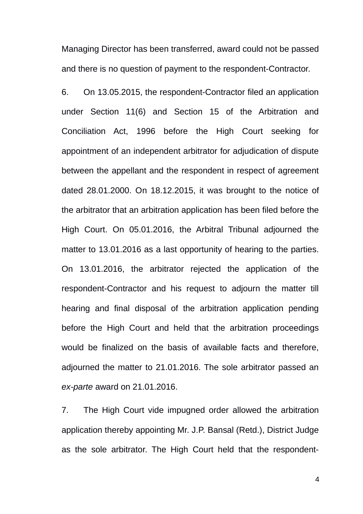Managing Director has been transferred, award could not be passed and there is no question of payment to the respondent-Contractor.

6. On 13.05.2015, the respondent-Contractor filed an application under Section 11(6) and Section 15 of the Arbitration and Conciliation Act, 1996 before the High Court seeking for appointment of an independent arbitrator for adjudication of dispute between the appellant and the respondent in respect of agreement dated 28.01.2000. On 18.12.2015, it was brought to the notice of the arbitrator that an arbitration application has been filed before the High Court. On 05.01.2016, the Arbitral Tribunal adjourned the matter to 13.01.2016 as a last opportunity of hearing to the parties. On 13.01.2016, the arbitrator rejected the application of the respondent-Contractor and his request to adjourn the matter till hearing and final disposal of the arbitration application pending before the High Court and held that the arbitration proceedings would be finalized on the basis of available facts and therefore, adjourned the matter to 21.01.2016. The sole arbitrator passed an *ex-parte* award on 21.01.2016.

7. The High Court vide impugned order allowed the arbitration application thereby appointing Mr. J.P. Bansal (Retd.), District Judge as the sole arbitrator. The High Court held that the respondent-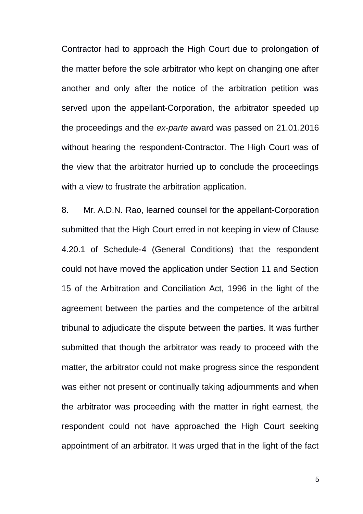Contractor had to approach the High Court due to prolongation of the matter before the sole arbitrator who kept on changing one after another and only after the notice of the arbitration petition was served upon the appellant-Corporation, the arbitrator speeded up the proceedings and the *ex-parte* award was passed on 21.01.2016 without hearing the respondent-Contractor. The High Court was of the view that the arbitrator hurried up to conclude the proceedings with a view to frustrate the arbitration application.

8. Mr. A.D.N. Rao, learned counsel for the appellant-Corporation submitted that the High Court erred in not keeping in view of Clause 4.20.1 of Schedule-4 (General Conditions) that the respondent could not have moved the application under Section 11 and Section 15 of the Arbitration and Conciliation Act, 1996 in the light of the agreement between the parties and the competence of the arbitral tribunal to adjudicate the dispute between the parties. It was further submitted that though the arbitrator was ready to proceed with the matter, the arbitrator could not make progress since the respondent was either not present or continually taking adjournments and when the arbitrator was proceeding with the matter in right earnest, the respondent could not have approached the High Court seeking appointment of an arbitrator. It was urged that in the light of the fact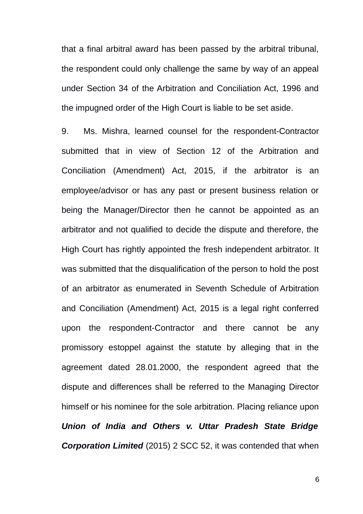that a final arbitral award has been passed by the arbitral tribunal, the respondent could only challenge the same by way of an appeal under Section 34 of the Arbitration and Conciliation Act, 1996 and the impugned order of the High Court is liable to be set aside.

9. Ms. Mishra, learned counsel for the respondent-Contractor submitted that in view of Section 12 of the Arbitration and Conciliation (Amendment) Act, 2015, if the arbitrator is an employee/advisor or has any past or present business relation or being the Manager/Director then he cannot be appointed as an arbitrator and not qualified to decide the dispute and therefore, the High Court has rightly appointed the fresh independent arbitrator. It was submitted that the disqualification of the person to hold the post of an arbitrator as enumerated in Seventh Schedule of Arbitration and Conciliation (Amendment) Act, 2015 is a legal right conferred upon the respondent-Contractor and there cannot be any promissory estoppel against the statute by alleging that in the agreement dated 28.01.2000, the respondent agreed that the dispute and differences shall be referred to the Managing Director himself or his nominee for the sole arbitration. Placing reliance upon *Union of India and Others v. Uttar Pradesh State Bridge Corporation Limited* (2015) 2 SCC 52, it was contended that when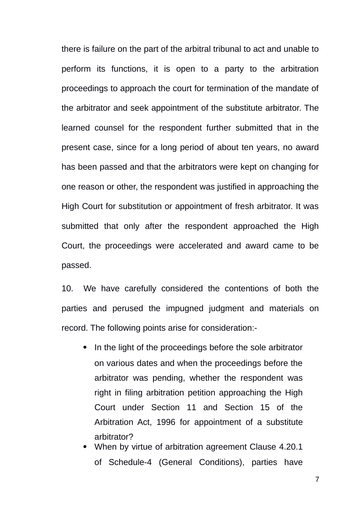there is failure on the part of the arbitral tribunal to act and unable to perform its functions, it is open to a party to the arbitration proceedings to approach the court for termination of the mandate of the arbitrator and seek appointment of the substitute arbitrator. The learned counsel for the respondent further submitted that in the present case, since for a long period of about ten years, no award has been passed and that the arbitrators were kept on changing for one reason or other, the respondent was justified in approaching the High Court for substitution or appointment of fresh arbitrator. It was submitted that only after the respondent approached the High Court, the proceedings were accelerated and award came to be passed.

10. We have carefully considered the contentions of both the parties and perused the impugned judgment and materials on record. The following points arise for consideration:-

- In the light of the proceedings before the sole arbitrator on various dates and when the proceedings before the arbitrator was pending, whether the respondent was right in filing arbitration petition approaching the High Court under Section 11 and Section 15 of the Arbitration Act, 1996 for appointment of a substitute arbitrator?
- When by virtue of arbitration agreement Clause 4.20.1 of Schedule-4 (General Conditions), parties have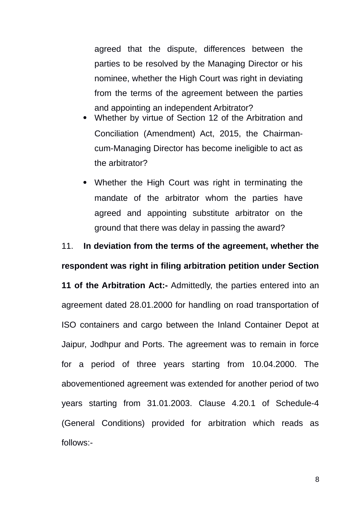agreed that the dispute, differences between the parties to be resolved by the Managing Director or his nominee, whether the High Court was right in deviating from the terms of the agreement between the parties and appointing an independent Arbitrator?

- Whether by virtue of Section 12 of the Arbitration and Conciliation (Amendment) Act, 2015, the Chairmancum-Managing Director has become ineligible to act as the arbitrator?
- Whether the High Court was right in terminating the mandate of the arbitrator whom the parties have agreed and appointing substitute arbitrator on the ground that there was delay in passing the award?

11. **In deviation from the terms of the agreement, whether the respondent was right in filing arbitration petition under Section**

**11 of the Arbitration Act:-** Admittedly, the parties entered into an agreement dated 28.01.2000 for handling on road transportation of ISO containers and cargo between the Inland Container Depot at Jaipur, Jodhpur and Ports. The agreement was to remain in force for a period of three years starting from 10.04.2000. The abovementioned agreement was extended for another period of two years starting from 31.01.2003. Clause 4.20.1 of Schedule-4 (General Conditions) provided for arbitration which reads as follows:-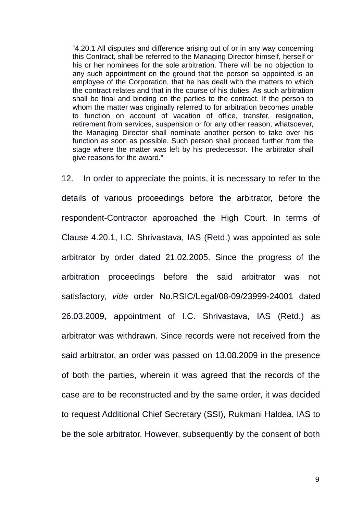"4.20.1 All disputes and difference arising out of or in any way concerning this Contract, shall be referred to the Managing Director himself, herself or his or her nominees for the sole arbitration. There will be no objection to any such appointment on the ground that the person so appointed is an employee of the Corporation, that he has dealt with the matters to which the contract relates and that in the course of his duties. As such arbitration shall be final and binding on the parties to the contract. If the person to whom the matter was originally referred to for arbitration becomes unable to function on account of vacation of office, transfer, resignation, retirement from services, suspension or for any other reason, whatsoever, the Managing Director shall nominate another person to take over his function as soon as possible. Such person shall proceed further from the stage where the matter was left by his predecessor. The arbitrator shall give reasons for the award."

12. In order to appreciate the points, it is necessary to refer to the details of various proceedings before the arbitrator, before the respondent-Contractor approached the High Court. In terms of Clause 4.20.1, I.C. Shrivastava, IAS (Retd.) was appointed as sole arbitrator by order dated 21.02.2005. Since the progress of the arbitration proceedings before the said arbitrator was not satisfactory, *vide* order No.RSIC/Legal/08-09/23999-24001 dated 26.03.2009, appointment of I.C. Shrivastava, IAS (Retd.) as arbitrator was withdrawn. Since records were not received from the said arbitrator, an order was passed on 13.08.2009 in the presence of both the parties, wherein it was agreed that the records of the case are to be reconstructed and by the same order, it was decided to request Additional Chief Secretary (SSI), Rukmani Haldea, IAS to be the sole arbitrator. However, subsequently by the consent of both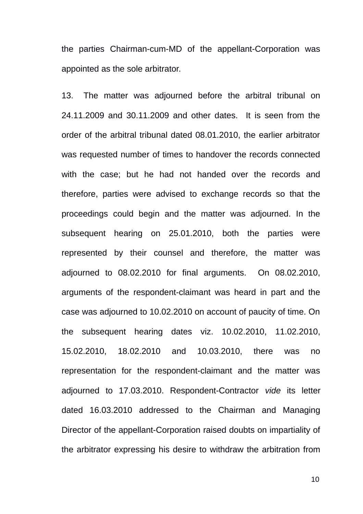the parties Chairman-cum-MD of the appellant-Corporation was appointed as the sole arbitrator.

13. The matter was adjourned before the arbitral tribunal on 24.11.2009 and 30.11.2009 and other dates. It is seen from the order of the arbitral tribunal dated 08.01.2010, the earlier arbitrator was requested number of times to handover the records connected with the case; but he had not handed over the records and therefore, parties were advised to exchange records so that the proceedings could begin and the matter was adjourned. In the subsequent hearing on 25.01.2010, both the parties were represented by their counsel and therefore, the matter was adjourned to 08.02.2010 for final arguments. On 08.02.2010, arguments of the respondent-claimant was heard in part and the case was adjourned to 10.02.2010 on account of paucity of time. On the subsequent hearing dates viz. 10.02.2010, 11.02.2010, 15.02.2010, 18.02.2010 and 10.03.2010, there was no representation for the respondent-claimant and the matter was adjourned to 17.03.2010. Respondent-Contractor *vide* its letter dated 16.03.2010 addressed to the Chairman and Managing Director of the appellant-Corporation raised doubts on impartiality of the arbitrator expressing his desire to withdraw the arbitration from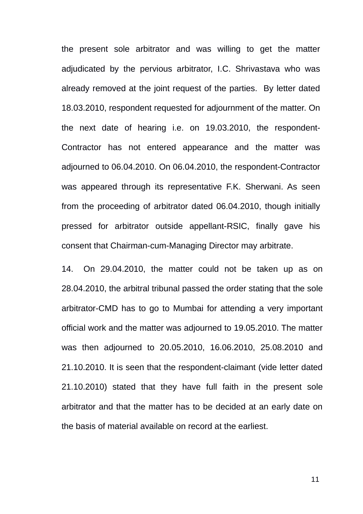the present sole arbitrator and was willing to get the matter adjudicated by the pervious arbitrator, I.C. Shrivastava who was already removed at the joint request of the parties. By letter dated 18.03.2010, respondent requested for adjournment of the matter. On the next date of hearing i.e. on 19.03.2010, the respondent-Contractor has not entered appearance and the matter was adjourned to 06.04.2010. On 06.04.2010, the respondent-Contractor was appeared through its representative F.K. Sherwani. As seen from the proceeding of arbitrator dated 06.04.2010, though initially pressed for arbitrator outside appellant-RSIC, finally gave his consent that Chairman-cum-Managing Director may arbitrate.

14. On 29.04.2010, the matter could not be taken up as on 28.04.2010, the arbitral tribunal passed the order stating that the sole arbitrator-CMD has to go to Mumbai for attending a very important official work and the matter was adjourned to 19.05.2010. The matter was then adjourned to 20.05.2010, 16.06.2010, 25.08.2010 and 21.10.2010. It is seen that the respondent-claimant (vide letter dated 21.10.2010) stated that they have full faith in the present sole arbitrator and that the matter has to be decided at an early date on the basis of material available on record at the earliest.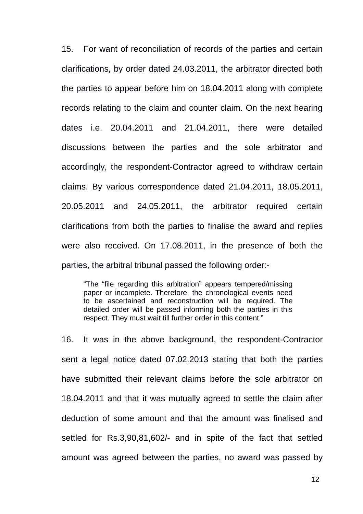15. For want of reconciliation of records of the parties and certain clarifications, by order dated 24.03.2011, the arbitrator directed both the parties to appear before him on 18.04.2011 along with complete records relating to the claim and counter claim. On the next hearing dates i.e. 20.04.2011 and 21.04.2011, there were detailed discussions between the parties and the sole arbitrator and accordingly, the respondent-Contractor agreed to withdraw certain claims. By various correspondence dated 21.04.2011, 18.05.2011, 20.05.2011 and 24.05.2011, the arbitrator required certain clarifications from both the parties to finalise the award and replies were also received. On 17.08.2011, in the presence of both the parties, the arbitral tribunal passed the following order:-

"The "file regarding this arbitration" appears tempered/missing paper or incomplete. Therefore, the chronological events need to be ascertained and reconstruction will be required. The detailed order will be passed informing both the parties in this respect. They must wait till further order in this content."

16. It was in the above background, the respondent-Contractor sent a legal notice dated 07.02.2013 stating that both the parties have submitted their relevant claims before the sole arbitrator on 18.04.2011 and that it was mutually agreed to settle the claim after deduction of some amount and that the amount was finalised and settled for Rs.3,90,81,602/- and in spite of the fact that settled amount was agreed between the parties, no award was passed by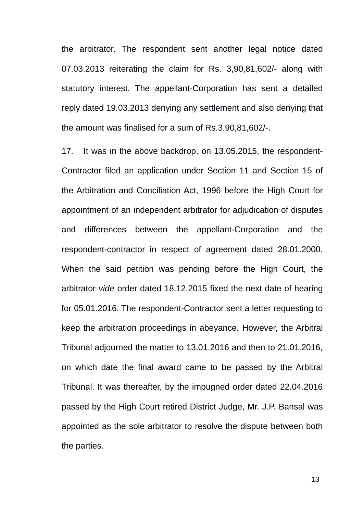the arbitrator. The respondent sent another legal notice dated 07.03.2013 reiterating the claim for Rs. 3,90,81,602/- along with statutory interest. The appellant-Corporation has sent a detailed reply dated 19.03.2013 denying any settlement and also denying that the amount was finalised for a sum of Rs.3,90,81,602/-.

17. It was in the above backdrop, on 13.05.2015, the respondent-Contractor filed an application under Section 11 and Section 15 of the Arbitration and Conciliation Act, 1996 before the High Court for appointment of an independent arbitrator for adjudication of disputes and differences between the appellant-Corporation and the respondent-contractor in respect of agreement dated 28.01.2000. When the said petition was pending before the High Court, the arbitrator *vide* order dated 18.12.2015 fixed the next date of hearing for 05.01.2016. The respondent-Contractor sent a letter requesting to keep the arbitration proceedings in abeyance. However, the Arbitral Tribunal adjourned the matter to 13.01.2016 and then to 21.01.2016, on which date the final award came to be passed by the Arbitral Tribunal. It was thereafter, by the impugned order dated 22.04.2016 passed by the High Court retired District Judge, Mr. J.P. Bansal was appointed as the sole arbitrator to resolve the dispute between both the parties.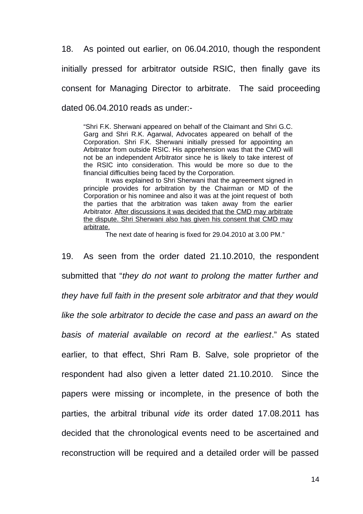18. As pointed out earlier, on 06.04.2010, though the respondent initially pressed for arbitrator outside RSIC, then finally gave its consent for Managing Director to arbitrate. The said proceeding dated 06.04.2010 reads as under:-

"Shri F.K. Sherwani appeared on behalf of the Claimant and Shri G.C. Garg and Shri R.K. Agarwal, Advocates appeared on behalf of the Corporation. Shri F.K. Sherwani initially pressed for appointing an Arbitrator from outside RSIC. His apprehension was that the CMD will not be an independent Arbitrator since he is likely to take interest of the RSIC into consideration. This would be more so due to the financial difficulties being faced by the Corporation.

It was explained to Shri Sherwani that the agreement signed in principle provides for arbitration by the Chairman or MD of the Corporation or his nominee and also it was at the joint request of both the parties that the arbitration was taken away from the earlier Arbitrator. After discussions it was decided that the CMD may arbitrate the dispute. Shri Sherwani also has given his consent that CMD may arbitrate.

The next date of hearing is fixed for 29.04.2010 at 3.00 PM."

19. As seen from the order dated 21.10.2010, the respondent submitted that "*they do not want to prolong the matter further and they have full faith in the present sole arbitrator and that they would like the sole arbitrator to decide the case and pass an award on the basis of material available on record at the earliest*." As stated earlier, to that effect, Shri Ram B. Salve, sole proprietor of the respondent had also given a letter dated 21.10.2010. Since the papers were missing or incomplete, in the presence of both the parties, the arbitral tribunal *vide* its order dated 17.08.2011 has decided that the chronological events need to be ascertained and reconstruction will be required and a detailed order will be passed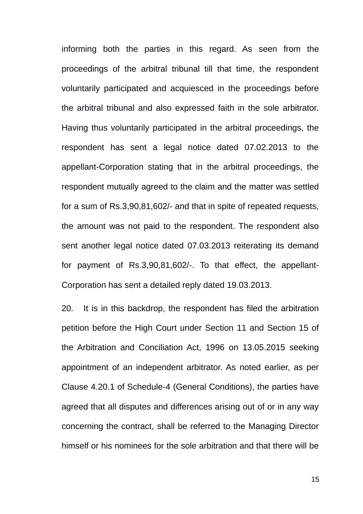informing both the parties in this regard. As seen from the proceedings of the arbitral tribunal till that time, the respondent voluntarily participated and acquiesced in the proceedings before the arbitral tribunal and also expressed faith in the sole arbitrator. Having thus voluntarily participated in the arbitral proceedings, the respondent has sent a legal notice dated 07.02.2013 to the appellant-Corporation stating that in the arbitral proceedings, the respondent mutually agreed to the claim and the matter was settled for a sum of Rs.3,90,81,602/- and that in spite of repeated requests, the amount was not paid to the respondent. The respondent also sent another legal notice dated 07.03.2013 reiterating its demand for payment of Rs.3,90,81,602/-. To that effect, the appellant-Corporation has sent a detailed reply dated 19.03.2013.

20. It is in this backdrop, the respondent has filed the arbitration petition before the High Court under Section 11 and Section 15 of the Arbitration and Conciliation Act, 1996 on 13.05.2015 seeking appointment of an independent arbitrator. As noted earlier, as per Clause 4.20.1 of Schedule-4 (General Conditions), the parties have agreed that all disputes and differences arising out of or in any way concerning the contract, shall be referred to the Managing Director himself or his nominees for the sole arbitration and that there will be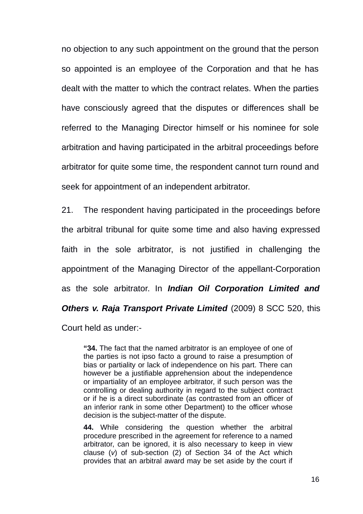no objection to any such appointment on the ground that the person so appointed is an employee of the Corporation and that he has dealt with the matter to which the contract relates. When the parties have consciously agreed that the disputes or differences shall be referred to the Managing Director himself or his nominee for sole arbitration and having participated in the arbitral proceedings before arbitrator for quite some time, the respondent cannot turn round and seek for appointment of an independent arbitrator.

21. The respondent having participated in the proceedings before the arbitral tribunal for quite some time and also having expressed faith in the sole arbitrator, is not justified in challenging the appointment of the Managing Director of the appellant-Corporation as the sole arbitrator. In *Indian Oil Corporation Limited and Others v. Raja Transport Private Limited* (2009) 8 SCC 520, this Court held as under:-

**"34.** The fact that the named arbitrator is an employee of one of the parties is not ipso facto a ground to raise a presumption of bias or partiality or lack of independence on his part. There can however be a justifiable apprehension about the independence or impartiality of an employee arbitrator, if such person was the controlling or dealing authority in regard to the subject contract or if he is a direct subordinate (as contrasted from an officer of an inferior rank in some other Department) to the officer whose decision is the subject-matter of the dispute.

**44.** While considering the question whether the arbitral procedure prescribed in the agreement for reference to a named arbitrator, can be ignored, it is also necessary to keep in view clause (*v*) of sub-section (2) of Section 34 of the Act which provides that an arbitral award may be set aside by the court if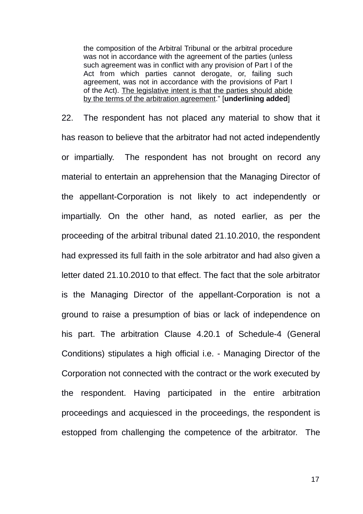the composition of the Arbitral Tribunal or the arbitral procedure was not in accordance with the agreement of the parties (unless such agreement was in conflict with any provision of Part I of the Act from which parties cannot derogate, or, failing such agreement, was not in accordance with the provisions of Part I of the Act). The legislative intent is that the parties should abide by the terms of the arbitration agreement." [**underlining added**]

22. The respondent has not placed any material to show that it has reason to believe that the arbitrator had not acted independently or impartially. The respondent has not brought on record any material to entertain an apprehension that the Managing Director of the appellant-Corporation is not likely to act independently or impartially. On the other hand, as noted earlier, as per the proceeding of the arbitral tribunal dated 21.10.2010, the respondent had expressed its full faith in the sole arbitrator and had also given a letter dated 21.10.2010 to that effect. The fact that the sole arbitrator is the Managing Director of the appellant-Corporation is not a ground to raise a presumption of bias or lack of independence on his part. The arbitration Clause 4.20.1 of Schedule-4 (General Conditions) stipulates a high official i.e. - Managing Director of the Corporation not connected with the contract or the work executed by the respondent. Having participated in the entire arbitration proceedings and acquiesced in the proceedings, the respondent is estopped from challenging the competence of the arbitrator. The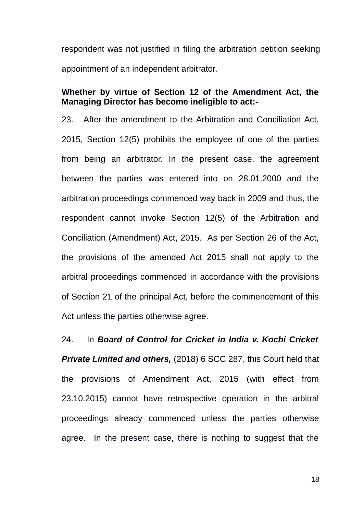respondent was not justified in filing the arbitration petition seeking appointment of an independent arbitrator.

### **Whether by virtue of Section 12 of the Amendment Act, the Managing Director has become ineligible to act:-**

23. After the amendment to the Arbitration and Conciliation Act, 2015, Section 12(5) prohibits the employee of one of the parties from being an arbitrator. In the present case, the agreement between the parties was entered into on 28.01.2000 and the arbitration proceedings commenced way back in 2009 and thus, the respondent cannot invoke Section 12(5) of the Arbitration and Conciliation (Amendment) Act, 2015. As per Section 26 of the Act, the provisions of the amended Act 2015 shall not apply to the arbitral proceedings commenced in accordance with the provisions of Section 21 of the principal Act, before the commencement of this Act unless the parties otherwise agree.

24. In *Board of Control for Cricket in India v. Kochi Cricket Private Limited and others,* (2018) 6 SCC 287, this Court held that the provisions of Amendment Act, 2015 (with effect from 23.10.2015) cannot have retrospective operation in the arbitral proceedings already commenced unless the parties otherwise agree. In the present case, there is nothing to suggest that the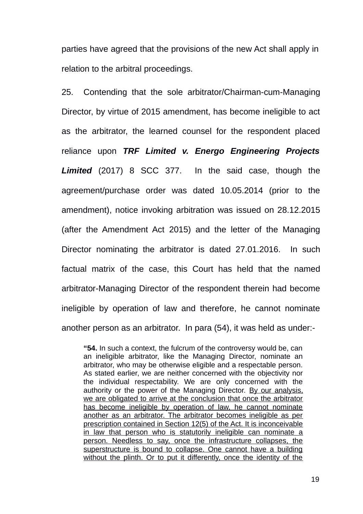parties have agreed that the provisions of the new Act shall apply in relation to the arbitral proceedings.

25. Contending that the sole arbitrator/Chairman-cum-Managing Director, by virtue of 2015 amendment, has become ineligible to act as the arbitrator, the learned counsel for the respondent placed reliance upon *TRF Limited v. Energo Engineering Projects Limited* (2017) 8 SCC 377. In the said case, though the agreement/purchase order was dated 10.05.2014 (prior to the amendment), notice invoking arbitration was issued on 28.12.2015 (after the Amendment Act 2015) and the letter of the Managing Director nominating the arbitrator is dated 27.01.2016. In such factual matrix of the case, this Court has held that the named arbitrator-Managing Director of the respondent therein had become ineligible by operation of law and therefore, he cannot nominate another person as an arbitrator. In para (54), it was held as under:-

**"54.** In such a context, the fulcrum of the controversy would be, can an ineligible arbitrator, like the Managing Director, nominate an arbitrator, who may be otherwise eligible and a respectable person. As stated earlier, we are neither concerned with the objectivity nor the individual respectability. We are only concerned with the authority or the power of the Managing Director. By our analysis, we are obligated to arrive at the conclusion that once the arbitrator has become ineligible by operation of law, he cannot nominate another as an arbitrator. The arbitrator becomes ineligible as per prescription contained in Section 12(5) of the Act. It is inconceivable in law that person who is statutorily ineligible can nominate a person. Needless to say, once the infrastructure collapses, the superstructure is bound to collapse. One cannot have a building without the plinth. Or to put it differently, once the identity of the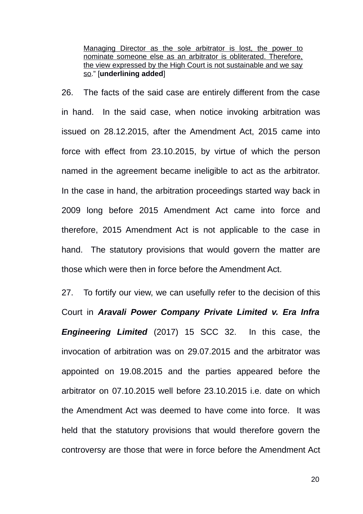Managing Director as the sole arbitrator is lost, the power to nominate someone else as an arbitrator is obliterated. Therefore, the view expressed by the High Court is not sustainable and we say so." [**underlining added**]

26. The facts of the said case are entirely different from the case in hand. In the said case, when notice invoking arbitration was issued on 28.12.2015, after the Amendment Act, 2015 came into force with effect from 23.10.2015, by virtue of which the person named in the agreement became ineligible to act as the arbitrator. In the case in hand, the arbitration proceedings started way back in 2009 long before 2015 Amendment Act came into force and therefore, 2015 Amendment Act is not applicable to the case in hand. The statutory provisions that would govern the matter are those which were then in force before the Amendment Act.

27. To fortify our view, we can usefully refer to the decision of this Court in *Aravali Power Company Private Limited v. Era Infra Engineering Limited* (2017) 15 SCC 32. In this case, the invocation of arbitration was on 29.07.2015 and the arbitrator was appointed on 19.08.2015 and the parties appeared before the arbitrator on 07.10.2015 well before 23.10.2015 i.e. date on which the Amendment Act was deemed to have come into force. It was held that the statutory provisions that would therefore govern the controversy are those that were in force before the Amendment Act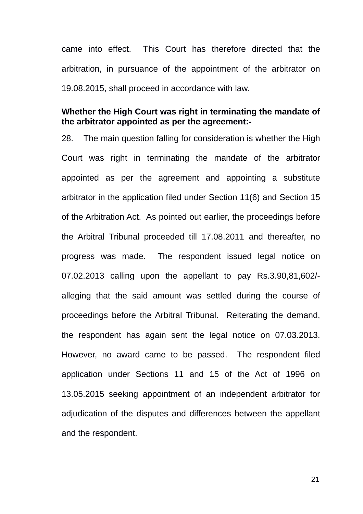came into effect. This Court has therefore directed that the arbitration, in pursuance of the appointment of the arbitrator on 19.08.2015, shall proceed in accordance with law.

### **Whether the High Court was right in terminating the mandate of the arbitrator appointed as per the agreement:-**

28. The main question falling for consideration is whether the High Court was right in terminating the mandate of the arbitrator appointed as per the agreement and appointing a substitute arbitrator in the application filed under Section 11(6) and Section 15 of the Arbitration Act. As pointed out earlier, the proceedings before the Arbitral Tribunal proceeded till 17.08.2011 and thereafter, no progress was made. The respondent issued legal notice on 07.02.2013 calling upon the appellant to pay Rs.3.90,81,602/ alleging that the said amount was settled during the course of proceedings before the Arbitral Tribunal. Reiterating the demand, the respondent has again sent the legal notice on 07.03.2013. However, no award came to be passed. The respondent filed application under Sections 11 and 15 of the Act of 1996 on 13.05.2015 seeking appointment of an independent arbitrator for adjudication of the disputes and differences between the appellant and the respondent.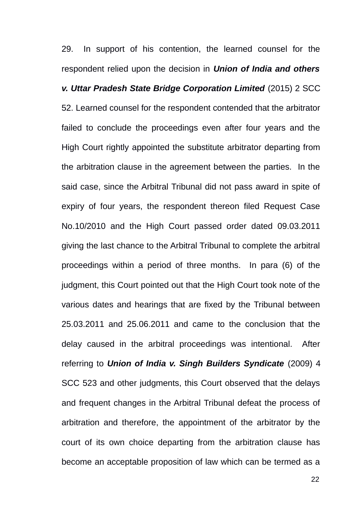29. In support of his contention, the learned counsel for the respondent relied upon the decision in *Union of India and others v. Uttar Pradesh State Bridge Corporation Limited* (2015) 2 SCC 52. Learned counsel for the respondent contended that the arbitrator failed to conclude the proceedings even after four years and the High Court rightly appointed the substitute arbitrator departing from the arbitration clause in the agreement between the parties. In the said case, since the Arbitral Tribunal did not pass award in spite of expiry of four years, the respondent thereon filed Request Case No.10/2010 and the High Court passed order dated 09.03.2011 giving the last chance to the Arbitral Tribunal to complete the arbitral proceedings within a period of three months. In para (6) of the judgment, this Court pointed out that the High Court took note of the various dates and hearings that are fixed by the Tribunal between 25.03.2011 and 25.06.2011 and came to the conclusion that the delay caused in the arbitral proceedings was intentional. After referring to *Union of India v. Singh Builders Syndicate* (2009) 4 SCC 523 and other judgments, this Court observed that the delays and frequent changes in the Arbitral Tribunal defeat the process of arbitration and therefore, the appointment of the arbitrator by the court of its own choice departing from the arbitration clause has become an acceptable proposition of law which can be termed as a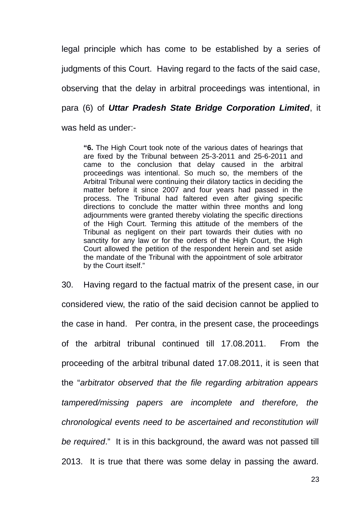legal principle which has come to be established by a series of judgments of this Court. Having regard to the facts of the said case, observing that the delay in arbitral proceedings was intentional, in para (6) of *Uttar Pradesh State Bridge Corporation Limited*, it was held as under:-

**"6.** The High Court took note of the various dates of hearings that are fixed by the Tribunal between 25-3-2011 and 25-6-2011 and came to the conclusion that delay caused in the arbitral proceedings was intentional. So much so, the members of the Arbitral Tribunal were continuing their dilatory tactics in deciding the matter before it since 2007 and four years had passed in the process. The Tribunal had faltered even after giving specific directions to conclude the matter within three months and long adjournments were granted thereby violating the specific directions of the High Court. Terming this attitude of the members of the Tribunal as negligent on their part towards their duties with no sanctity for any law or for the orders of the High Court, the High Court allowed the petition of the respondent herein and set aside the mandate of the Tribunal with the appointment of sole arbitrator by the Court itself."

30. Having regard to the factual matrix of the present case, in our considered view, the ratio of the said decision cannot be applied to the case in hand. Per contra, in the present case, the proceedings of the arbitral tribunal continued till 17.08.2011. From the proceeding of the arbitral tribunal dated 17.08.2011, it is seen that the "*arbitrator observed that the file regarding arbitration appears tampered/missing papers are incomplete and therefore, the chronological events need to be ascertained and reconstitution will be required*." It is in this background, the award was not passed till 2013. It is true that there was some delay in passing the award.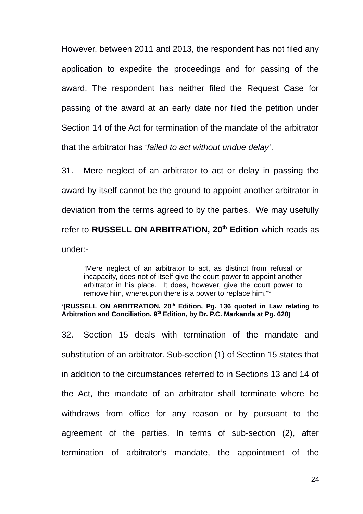However, between 2011 and 2013, the respondent has not filed any application to expedite the proceedings and for passing of the award. The respondent has neither filed the Request Case for passing of the award at an early date nor filed the petition under Section 14 of the Act for termination of the mandate of the arbitrator that the arbitrator has '*failed to act without undue delay*'.

31. Mere neglect of an arbitrator to act or delay in passing the award by itself cannot be the ground to appoint another arbitrator in deviation from the terms agreed to by the parties. We may usefully refer to **RUSSELL ON ARBITRATION, 20th Edition** which reads as under:-

"Mere neglect of an arbitrator to act, as distinct from refusal or incapacity, does not of itself give the court power to appoint another arbitrator in his place. It does, however, give the court power to remove him, whereupon there is a power to replace him."\*

\*[**RUSSELL ON ARBITRATION, 20th Edition, Pg. 136 quoted in Law relating to Arbitration and Conciliation, 9th Edition, by Dr. P.C. Markanda at Pg. 620**]

32. Section 15 deals with termination of the mandate and substitution of an arbitrator. Sub-section (1) of Section 15 states that in addition to the circumstances referred to in Sections 13 and 14 of the Act, the mandate of an arbitrator shall terminate where he withdraws from office for any reason or by pursuant to the agreement of the parties. In terms of sub-section (2), after termination of arbitrator's mandate, the appointment of the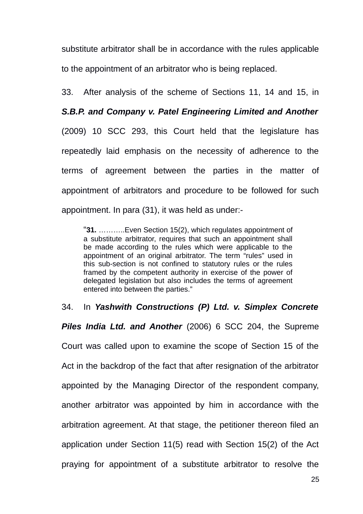substitute arbitrator shall be in accordance with the rules applicable to the appointment of an arbitrator who is being replaced.

33. After analysis of the scheme of Sections 11, 14 and 15, in

### *S.B.P. and Company v. Patel Engineering Limited and Another*

(2009) 10 SCC 293, this Court held that the legislature has repeatedly laid emphasis on the necessity of adherence to the terms of agreement between the parties in the matter of appointment of arbitrators and procedure to be followed for such appointment. In para (31), it was held as under:-

"**31.** ………..Even Section 15(2), which regulates appointment of a substitute arbitrator, requires that such an appointment shall be made according to the rules which were applicable to the appointment of an original arbitrator. The term "rules" used in this sub-section is not confined to statutory rules or the rules framed by the competent authority in exercise of the power of delegated legislation but also includes the terms of agreement entered into between the parties."

34. In *Yashwith Constructions (P) Ltd. v. Simplex Concrete Piles India Ltd. and Another* (2006) 6 SCC 204, the Supreme Court was called upon to examine the scope of Section 15 of the Act in the backdrop of the fact that after resignation of the arbitrator appointed by the Managing Director of the respondent company, another arbitrator was appointed by him in accordance with the arbitration agreement. At that stage, the petitioner thereon filed an application under Section 11(5) read with Section 15(2) of the Act praying for appointment of a substitute arbitrator to resolve the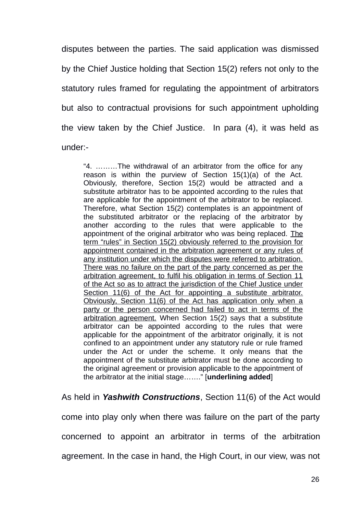disputes between the parties. The said application was dismissed by the Chief Justice holding that Section 15(2) refers not only to the statutory rules framed for regulating the appointment of arbitrators but also to contractual provisions for such appointment upholding the view taken by the Chief Justice. In para (4), it was held as under:-

"4. ………The withdrawal of an arbitrator from the office for any reason is within the purview of Section 15(1)(a) of the Act. Obviously, therefore, Section 15(2) would be attracted and a substitute arbitrator has to be appointed according to the rules that are applicable for the appointment of the arbitrator to be replaced. Therefore, what Section 15(2) contemplates is an appointment of the substituted arbitrator or the replacing of the arbitrator by another according to the rules that were applicable to the appointment of the original arbitrator who was being replaced. The term "rules" in Section 15(2) obviously referred to the provision for appointment contained in the arbitration agreement or any rules of any institution under which the disputes were referred to arbitration. There was no failure on the part of the party concerned as per the arbitration agreement, to fulfil his obligation in terms of Section 11 of the Act so as to attract the jurisdiction of the Chief Justice under Section 11(6) of the Act for appointing a substitute arbitrator. Obviously, Section 11(6) of the Act has application only when a party or the person concerned had failed to act in terms of the arbitration agreement. When Section 15(2) says that a substitute arbitrator can be appointed according to the rules that were applicable for the appointment of the arbitrator originally, it is not confined to an appointment under any statutory rule or rule framed under the Act or under the scheme. It only means that the appointment of the substitute arbitrator must be done according to the original agreement or provision applicable to the appointment of the arbitrator at the initial stage……." [**underlining added**]

As held in *Yashwith Constructions*, Section 11(6) of the Act would come into play only when there was failure on the part of the party concerned to appoint an arbitrator in terms of the arbitration agreement. In the case in hand, the High Court, in our view, was not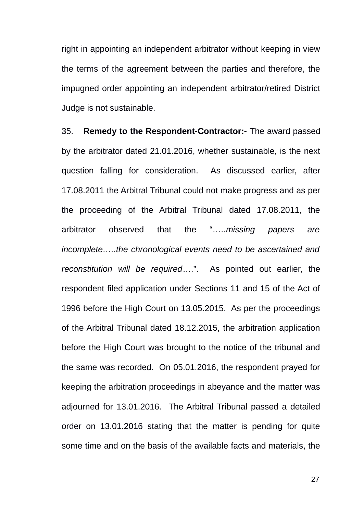right in appointing an independent arbitrator without keeping in view the terms of the agreement between the parties and therefore, the impugned order appointing an independent arbitrator/retired District Judge is not sustainable.

35. **Remedy to the Respondent-Contractor:-** The award passed by the arbitrator dated 21.01.2016, whether sustainable, is the next question falling for consideration. As discussed earlier, after 17.08.2011 the Arbitral Tribunal could not make progress and as per the proceeding of the Arbitral Tribunal dated 17.08.2011, the arbitrator observed that the "…..*missing papers are incomplete…..the chronological events need to be ascertained and reconstitution will be required*….". As pointed out earlier, the respondent filed application under Sections 11 and 15 of the Act of 1996 before the High Court on 13.05.2015. As per the proceedings of the Arbitral Tribunal dated 18.12.2015, the arbitration application before the High Court was brought to the notice of the tribunal and the same was recorded. On 05.01.2016, the respondent prayed for keeping the arbitration proceedings in abeyance and the matter was adjourned for 13.01.2016. The Arbitral Tribunal passed a detailed order on 13.01.2016 stating that the matter is pending for quite some time and on the basis of the available facts and materials, the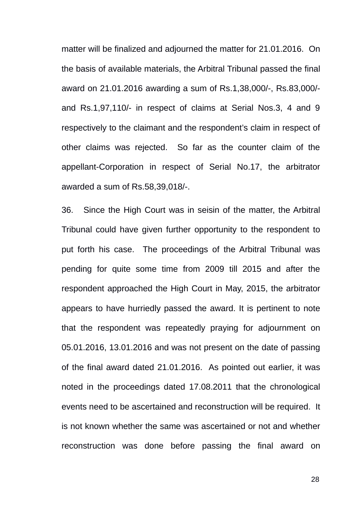matter will be finalized and adjourned the matter for 21.01.2016. On the basis of available materials, the Arbitral Tribunal passed the final award on 21.01.2016 awarding a sum of Rs.1,38,000/-, Rs.83,000/ and Rs.1,97,110/- in respect of claims at Serial Nos.3, 4 and 9 respectively to the claimant and the respondent's claim in respect of other claims was rejected. So far as the counter claim of the appellant-Corporation in respect of Serial No.17, the arbitrator awarded a sum of Rs.58,39,018/-.

36. Since the High Court was in seisin of the matter, the Arbitral Tribunal could have given further opportunity to the respondent to put forth his case. The proceedings of the Arbitral Tribunal was pending for quite some time from 2009 till 2015 and after the respondent approached the High Court in May, 2015, the arbitrator appears to have hurriedly passed the award. It is pertinent to note that the respondent was repeatedly praying for adjournment on 05.01.2016, 13.01.2016 and was not present on the date of passing of the final award dated 21.01.2016. As pointed out earlier, it was noted in the proceedings dated 17.08.2011 that the chronological events need to be ascertained and reconstruction will be required. It is not known whether the same was ascertained or not and whether reconstruction was done before passing the final award on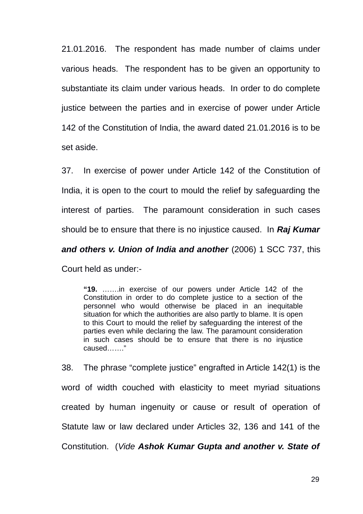21.01.2016. The respondent has made number of claims under various heads. The respondent has to be given an opportunity to substantiate its claim under various heads. In order to do complete justice between the parties and in exercise of power under Article 142 of the Constitution of India, the award dated 21.01.2016 is to be set aside.

37. In exercise of power under Article 142 of the Constitution of India, it is open to the court to mould the relief by safeguarding the interest of parties. The paramount consideration in such cases should be to ensure that there is no injustice caused. In *Raj Kumar*

*and others v. Union of India and another* (2006) 1 SCC 737, this

Court held as under:-

**"19.** …….in exercise of our powers under Article 142 of the Constitution in order to do complete justice to a section of the personnel who would otherwise be placed in an inequitable situation for which the authorities are also partly to blame. It is open to this Court to mould the relief by safeguarding the interest of the parties even while declaring the law. The paramount consideration in such cases should be to ensure that there is no injustice caused……."

38. The phrase "complete justice" engrafted in Article 142(1) is the word of width couched with elasticity to meet myriad situations created by human ingenuity or cause or result of operation of Statute law or law declared under Articles 32, 136 and 141 of the Constitution. (*Vide Ashok Kumar Gupta and another v. State of*